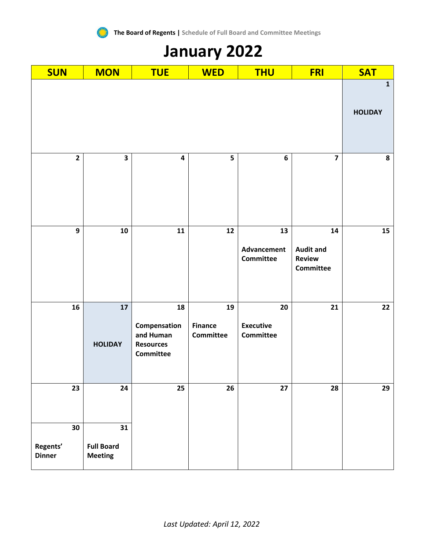

 $\epsilon^{\prime\prime}$ 

| <b>SUN</b>                      | <b>MON</b>                                | <b>TUE</b>                                                              | <b>WED</b>                        | <b>THU</b>                                 | <b>FRI</b>                                           | <b>SAT</b>                    |
|---------------------------------|-------------------------------------------|-------------------------------------------------------------------------|-----------------------------------|--------------------------------------------|------------------------------------------------------|-------------------------------|
|                                 |                                           |                                                                         |                                   |                                            |                                                      | $\mathbf 1$<br><b>HOLIDAY</b> |
|                                 |                                           |                                                                         |                                   |                                            |                                                      |                               |
| $\overline{2}$                  | $\overline{\mathbf{3}}$                   | $\overline{\mathbf{4}}$                                                 | 5                                 | $\bf 6$                                    | $\overline{\mathbf{z}}$                              | ${\bf 8}$                     |
| $\mathbf{9}$                    | 10                                        | 11                                                                      | 12                                | 13<br>Advancement<br><b>Committee</b>      | 14<br><b>Audit and</b><br><b>Review</b><br>Committee | 15                            |
| 16                              | 17<br><b>HOLIDAY</b>                      | 18<br>Compensation<br>and Human<br><b>Resources</b><br><b>Committee</b> | 19<br><b>Finance</b><br>Committee | 20<br><b>Executive</b><br><b>Committee</b> | 21                                                   | 22                            |
| 23                              | 24                                        | 25                                                                      | 26                                | 27                                         | 28                                                   | 29                            |
| 30<br>Regents'<br><b>Dinner</b> | 31<br><b>Full Board</b><br><b>Meeting</b> |                                                                         |                                   |                                            |                                                      |                               |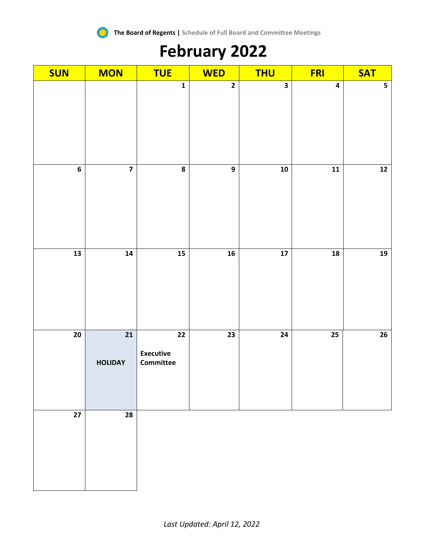

## **February 2022**

| <b>SUN</b>               | <b>MON</b>                        | <b>TUE</b>                                              | <b>WED</b>              | <b>THU</b>               | <b>FRI</b>               | <b>SAT</b>              |
|--------------------------|-----------------------------------|---------------------------------------------------------|-------------------------|--------------------------|--------------------------|-------------------------|
|                          |                                   | $\mathbf 1$                                             | $\overline{\mathbf{2}}$ | $\overline{\mathbf{3}}$  | $\overline{\mathbf{4}}$  | $\overline{\mathbf{5}}$ |
| $\bf 6$                  | $\overline{\mathbf{z}}$           | 8                                                       | $\boldsymbol{9}$        | ${\bf 10}$               | $\overline{\mathbf{11}}$ | $\overline{12}$         |
| $\overline{\mathbf{13}}$ | 14                                | $\frac{15}{15}$                                         | ${\bf 16}$              | $\overline{\mathbf{17}}$ | ${\bf 18}$               | 19                      |
| 20                       | $\overline{21}$<br><b>HOLIDAY</b> | $\overline{22}$<br><b>Executive</b><br><b>Committee</b> | $\overline{23}$         | $\overline{24}$          | $\overline{25}$          | $\overline{26}$         |
| $27\,$                   | 28                                |                                                         |                         |                          |                          |                         |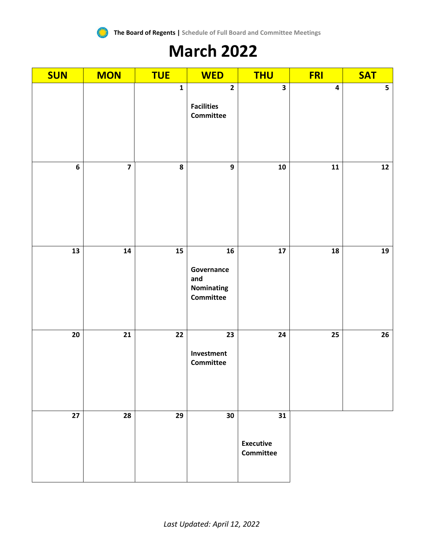

### **March 2022**

| <b>SUN</b> | <b>MON</b>              | <b>TUE</b>      | <b>WED</b>                                                       | <b>THU</b>                                 | <b>FRI</b>              | <b>SAT</b> |
|------------|-------------------------|-----------------|------------------------------------------------------------------|--------------------------------------------|-------------------------|------------|
|            |                         | $\mathbf{1}$    | $\overline{\mathbf{2}}$<br><b>Facilities</b><br><b>Committee</b> | $\overline{\mathbf{3}}$                    | $\overline{\mathbf{4}}$ | 5          |
| 6          | $\overline{\mathbf{z}}$ | 8               | $\boldsymbol{9}$                                                 | ${\bf 10}$                                 | 11                      | $12$       |
| 13         | ${\bf 14}$              | $\overline{15}$ | ${\bf 16}$<br>Governance<br>and<br>Nominating<br>Committee       | 17                                         | 18                      | ${\bf 19}$ |
| 20         | 21                      | $22$            | 23<br>Investment<br><b>Committee</b>                             | 24                                         | 25                      | ${\bf 26}$ |
| 27         | 28                      | 29              | 30                                                               | 31<br><b>Executive</b><br><b>Committee</b> |                         |            |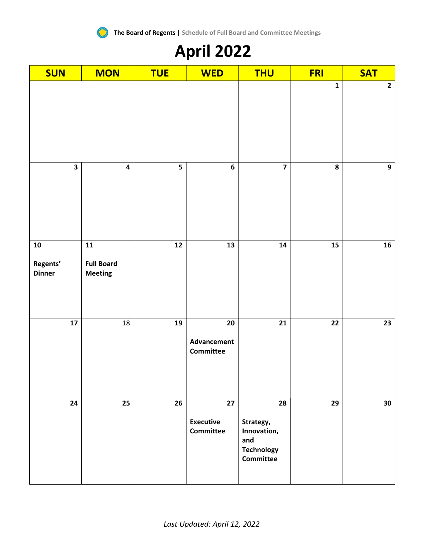

# **April 2022**

| <b>SUN</b>                              | <b>MON</b>                                        | <b>TUE</b> | <b>WED</b>                                 | <b>THU</b>                                                                     | <b>FRI</b>      | <b>SAT</b>       |
|-----------------------------------------|---------------------------------------------------|------------|--------------------------------------------|--------------------------------------------------------------------------------|-----------------|------------------|
|                                         |                                                   |            |                                            |                                                                                | $\mathbf{1}$    | $\mathbf{2}$     |
| $\overline{\mathbf{3}}$                 | $\overline{\mathbf{4}}$                           | 5          | $\bf 6$                                    | $\overline{\mathbf{z}}$                                                        | 8               | $\boldsymbol{9}$ |
| ${\bf 10}$<br>Regents'<br><b>Dinner</b> | ${\bf 11}$<br><b>Full Board</b><br><b>Meeting</b> | 12         | ${\bf 13}$                                 | ${\bf 14}$                                                                     | ${\bf 15}$      | ${\bf 16}$       |
| $\overline{17}$                         | 18                                                | 19         | 20<br>Advancement<br><b>Committee</b>      | $\overline{21}$                                                                | $\overline{22}$ | 23               |
| 24                                      | 25                                                | 26         | 27<br><b>Executive</b><br><b>Committee</b> | 28<br>Strategy,<br>Innovation,<br>and<br><b>Technology</b><br><b>Committee</b> | 29              | 30               |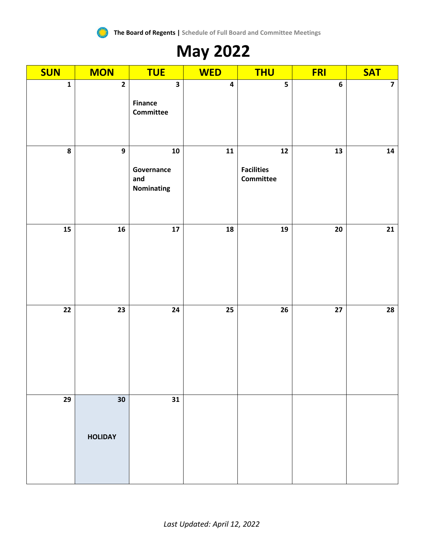

## **May 2022**

| <b>SUN</b>      | <b>MON</b>              | <b>TUE</b>                                             | <b>WED</b>              | <b>THU</b>                             | <b>FRI</b>       | <b>SAT</b>              |
|-----------------|-------------------------|--------------------------------------------------------|-------------------------|----------------------------------------|------------------|-------------------------|
| $\mathbf 1$     | $\overline{\mathbf{2}}$ | $\overline{\mathbf{3}}$<br><b>Finance</b><br>Committee | $\overline{\mathbf{4}}$ | $\overline{\mathbf{5}}$                | $\boldsymbol{6}$ | $\overline{\mathbf{z}}$ |
| $\pmb{8}$       | $\overline{9}$          | ${\bf 10}$<br>Governance<br>and<br>Nominating          | $\overline{11}$         | $12$<br><b>Facilities</b><br>Committee | 13               | ${\bf 14}$              |
| 15              | ${\bf 16}$              | ${\bf 17}$                                             | ${\bf 18}$              | ${\bf 19}$                             | $20\,$           | 21                      |
| $\overline{22}$ | $\overline{23}$         | $\overline{24}$                                        | $\overline{25}$         | 26                                     | $\overline{27}$  | $\overline{28}$         |
| 29              | 30<br><b>HOLIDAY</b>    | 31                                                     |                         |                                        |                  |                         |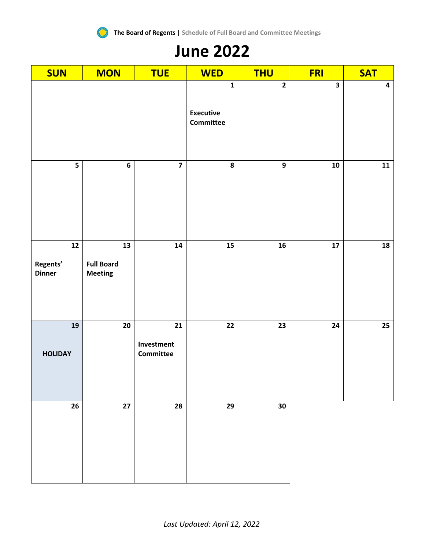

### **June 2022**

| <b>SUN</b>                              | <b>MON</b>                                | <b>TUE</b>                    | <b>WED</b>                                          | <b>THU</b>              | <b>FRI</b>              | <b>SAT</b>              |
|-----------------------------------------|-------------------------------------------|-------------------------------|-----------------------------------------------------|-------------------------|-------------------------|-------------------------|
|                                         |                                           |                               | $\mathbf 1$<br><b>Executive</b><br><b>Committee</b> | $\overline{\mathbf{2}}$ | $\overline{\mathbf{3}}$ | $\overline{\mathbf{4}}$ |
| 5                                       | $\bf 6$                                   | $\overline{\mathbf{z}}$       | 8                                                   | $\overline{9}$          | ${\bf 10}$              | ${\bf 11}$              |
| ${\bf 12}$<br>Regents'<br><b>Dinner</b> | 13<br><b>Full Board</b><br><b>Meeting</b> | 14                            | $15\phantom{.0}$                                    | ${\bf 16}$              | ${\bf 17}$              | ${\bf 18}$              |
| 19<br><b>HOLIDAY</b>                    | ${\bf 20}$                                | 21<br>Investment<br>Committee | 22                                                  | 23                      | 24                      | 25                      |
| 26                                      | 27                                        | 28                            | 29                                                  | 30                      |                         |                         |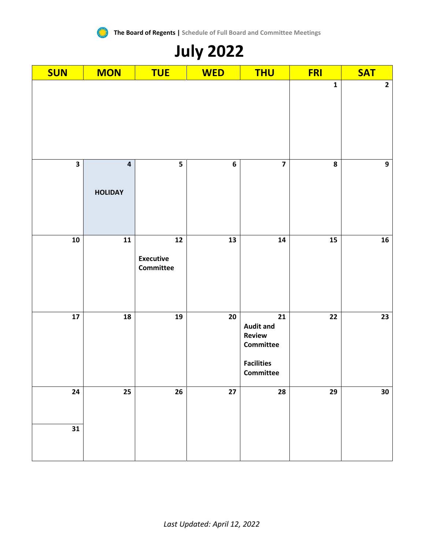

## **July 2022**

| <b>SUN</b>              | <b>MON</b>                                | <b>TUE</b>                                            | <b>WED</b>      | <b>THU</b>                                                                             | <b>FRI</b> | <b>SAT</b>      |
|-------------------------|-------------------------------------------|-------------------------------------------------------|-----------------|----------------------------------------------------------------------------------------|------------|-----------------|
|                         |                                           | $\mathbf{1}$                                          | $\mathbf{2}$    |                                                                                        |            |                 |
| $\overline{\mathbf{3}}$ | $\overline{\mathbf{4}}$<br><b>HOLIDAY</b> | 5                                                     | $\bf 6$         | $\overline{\mathbf{z}}$                                                                | 8          | $\overline{9}$  |
| ${\bf 10}$              | $\mathbf{11}$                             | $\mathbf{12}$<br><b>Executive</b><br><b>Committee</b> | 13              | ${\bf 14}$                                                                             | 15         | 16 <sup>1</sup> |
| ${\bf 17}$              | 18                                        | 19                                                    | 20              | 21<br><b>Audit and</b><br><b>Review</b><br>Committee<br><b>Facilities</b><br>Committee | 22         | 23              |
| 24                      | 25                                        | ${\bf 26}$                                            | $\overline{27}$ | 28                                                                                     | 29         | 30              |
| 31                      |                                           |                                                       |                 |                                                                                        |            |                 |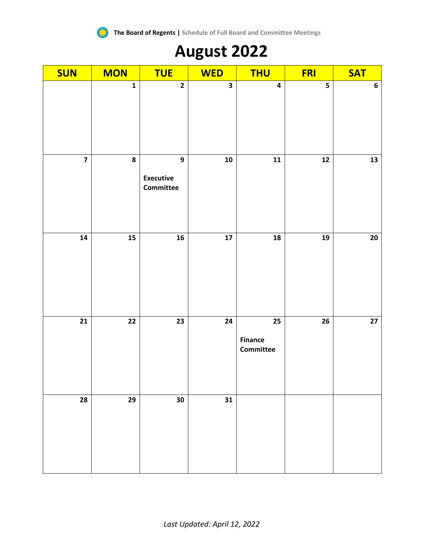

## **August 2022**

| <b>SUN</b>              | <b>MON</b>              | <b>TUE</b>                                    | <b>WED</b> | <b>THU</b>                        | <b>FRI</b>    | <b>SAT</b> |
|-------------------------|-------------------------|-----------------------------------------------|------------|-----------------------------------|---------------|------------|
|                         | $\overline{\mathbf{1}}$ | $\overline{2}$                                | 3          | $\overline{\mathbf{4}}$           | 5             | $\bf 6$    |
| $\overline{\mathbf{z}}$ | 8                       | $\mathbf{9}$<br><b>Executive</b><br>Committee | 10         | $\mathbf{11}$                     | $\mathbf{12}$ | 13         |
| ${\bf 14}$              | 15                      | ${\bf 16}$                                    | ${\bf 17}$ | 18                                | 19            | ${\bf 20}$ |
| ${\bf 21}$              | 22                      | 23                                            | 24         | 25<br><b>Finance</b><br>Committee | 26            | $27\,$     |
| 28                      | 29                      | $30\,$                                        | 31         |                                   |               |            |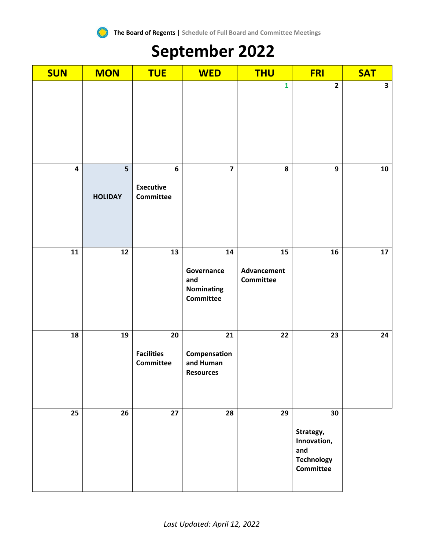

## **September 2022**

| <b>SUN</b>              | <b>MON</b>          | <b>TUE</b>                                               | <b>WED</b>                                          | <b>THU</b>                            | <b>FRI</b>                                                                     | <b>SAT</b>   |
|-------------------------|---------------------|----------------------------------------------------------|-----------------------------------------------------|---------------------------------------|--------------------------------------------------------------------------------|--------------|
|                         |                     |                                                          |                                                     | $\mathbf{1}$                          | $\overline{2}$                                                                 | $\mathbf{3}$ |
| $\overline{\mathbf{4}}$ | 5<br><b>HOLIDAY</b> | $\boldsymbol{6}$<br><b>Executive</b><br><b>Committee</b> | $\overline{\mathbf{z}}$                             | 8                                     | 9                                                                              | 10           |
| 11                      | 12                  | 13                                                       | 14<br>Governance<br>and<br>Nominating<br>Committee  | 15<br>Advancement<br><b>Committee</b> | 16                                                                             | 17           |
| 18                      | 19                  | 20<br><b>Facilities</b><br>Committee                     | 21<br>Compensation<br>and Human<br><b>Resources</b> | 22                                    | 23                                                                             | 24           |
| 25                      | 26                  | 27                                                       | 28                                                  | 29                                    | 30<br>Strategy,<br>Innovation,<br>and<br><b>Technology</b><br><b>Committee</b> |              |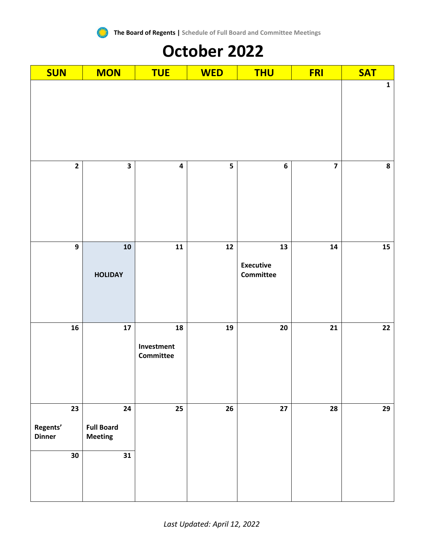

### **October 2022**

| <b>SUN</b>       | <b>MON</b>                   | <b>TUE</b>                           | <b>WED</b> | <b>THU</b>                          | <b>FRI</b>              | <b>SAT</b>      |
|------------------|------------------------------|--------------------------------------|------------|-------------------------------------|-------------------------|-----------------|
|                  |                              |                                      |            |                                     |                         | $\mathbf 1$     |
| $\mathbf{2}$     | $\overline{\mathbf{3}}$      | $\overline{\mathbf{4}}$              | 5          | $\bf 6$                             | $\overline{\mathbf{z}}$ | ${\bf 8}$       |
| $\boldsymbol{9}$ | ${\bf 10}$<br><b>HOLIDAY</b> | $\mathbf{11}$                        | ${\bf 12}$ | 13<br><b>Executive</b><br>Committee | ${\bf 14}$              | ${\bf 15}$      |
| ${\bf 16}$       | ${\bf 17}$                   | 18<br>Investment<br><b>Committee</b> | 19         | ${\bf 20}$                          | 21                      | $\overline{22}$ |
| 23               | 24                           | 25                                   | 26         | $27\,$                              | 28                      | 29              |
| Regents'         | <b>Full Board</b>            |                                      |            |                                     |                         |                 |
| <b>Dinner</b>    | <b>Meeting</b>               |                                      |            |                                     |                         |                 |
| 30               | 31                           |                                      |            |                                     |                         |                 |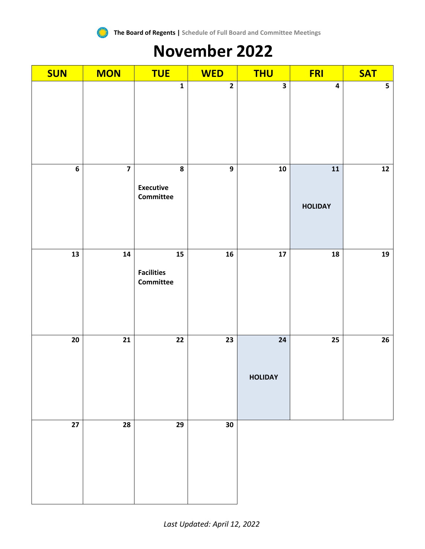

### **November 2022**

| <b>SUN</b> | <b>MON</b>              | <b>TUE</b>                                   | <b>WED</b>              | <b>THU</b>                   | <b>FRI</b>                   | <b>SAT</b>              |
|------------|-------------------------|----------------------------------------------|-------------------------|------------------------------|------------------------------|-------------------------|
|            |                         | $\mathbf{1}$                                 | $\overline{\mathbf{2}}$ | $\overline{\mathbf{3}}$      | $\overline{\mathbf{4}}$      | $\overline{\mathbf{5}}$ |
| 6          | $\overline{\mathbf{z}}$ | 8<br><b>Executive</b><br>Committee           | $\boldsymbol{9}$        | ${\bf 10}$                   | ${\bf 11}$<br><b>HOLIDAY</b> | $12$                    |
| 13         | ${\bf 14}$              | ${\bf 15}$<br><b>Facilities</b><br>Committee | 16                      | ${\bf 17}$                   | ${\bf 18}$                   | ${\bf 19}$              |
| ${\bf 20}$ | $\overline{21}$         | $\overline{22}$                              | $\overline{23}$         | ${\bf 24}$<br><b>HOLIDAY</b> | $\overline{25}$              | 26                      |
| $27\,$     | ${\bf 28}$              | 29                                           | 30                      |                              |                              |                         |